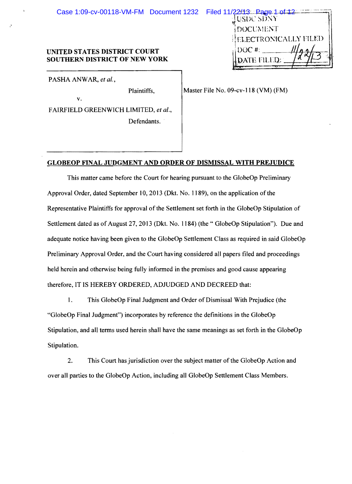| Case 1:09-cv-00118-VM-FM Document 1232 Filed 11/22/13. Page 1 of 12 |                      |
|---------------------------------------------------------------------|----------------------|
|                                                                     | USDC SDNY            |
|                                                                     | DOCUMENT             |
|                                                                     | ELECTRONICALLY FILED |
| UNITED STATES DISTRICT COURT                                        | $\pm$ DOC #:         |
| <b>SOUTHERN DISTRICT OF NEW YORK</b>                                |                      |

PASHA ANWAR, *et al.*,

v.

Plaintiffs, Master File No. 09-cv-118 (VM) (FM)

F AIRFIELD GREENWICH LIMITED, *et al.,*  Defendants. .

## GLOBEOP FINAL JUDGMENT AND ORDER OF DISMISSAL WITH PREJUDICE

This matter came before the Court for hearing pursuant to the GlobeOp Preliminary Approval Order, dated September 10, 2013 (Dkt. No. 1189), on the application of the Representative Plaintiffs for approval of the Settlement set forth in the GlobeOp Stipulation of Settlement dated as of August 27, 2013 (Dkt. No. 1184) (the "GlobeOp Stipulation"). Due and adequate notice having been given to the GlobeOp Settlement Class as required in said GlobeOp Preliminary Approval Order, and the Court having considered all papers filed and proceedings held herein and otherwise being ful1y informed in the premises and good cause appearing therefore, IT IS HEREBY ORDERED, ADJUDGED AND DECREED that:

1. This GlobeOp Final Judgment and Order of Dismissal With Prejudice (the "GlobeOp Final Judgment") incorporates by reference the definitions in the GlobeOp Stipulation, and all terms used herein shall have the same meanings as set forth in the GlobeOp Stipulation.

2. This Court has jurisdiction over the subject matter of the GlobeOp Action and over all parties to the GlobeOp Action, including all GlobeOp Settlement Class Members.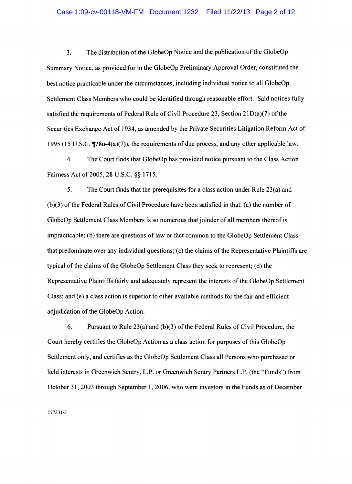3. The distribution of the GlobeOp Notice and the publication of the GlobeOp Summary Notice, as provided for in the GlobeOp Preliminary Approval Order, constituted the best notice practicable under the circumstances, including individual notice to all GlobeOp Settlement Class Members who could be identified through reasonable effort. Said notices fully satisfied the requirements of Federal Rule of Civil Procedure 23, Section  $21D(a)(7)$  of the Securities Exchange Act of 1934, as amended by the Private Securities Litigation Reform Act of 1995 (15 U.S.C.  $\P$ 78u-4(a)(7)), the requirements of due process, and any other applicable law.

4. The Court finds that GlobeOp has provided notice pursuant to the Class Action Fairness Act of 2005, 28 U.S.C. §§ 1715.

5. The Court finds that the prerequisites for a class action under Rule 23(a) and (b)(3) ofthe Federal Rules of Civil Procedure have been satisfied in that: (a) the number of GlobeOp Settlement Class Members is so numerous that joinder of all members thereof is impracticable; (b) there are questions of law or fact common to the GlobeOp Settlement Class that predominate over any individual questions; (c) the claims ofthe Representative Plaintiffs are typical of the claims of the GlobeOp Settlement Class they seek to represent; (d) the Representative Plaintiffs fairly and adequately represent the interests ofthe GlobeOp Settlement Class; and (e) a class action is superior to other available methods for the fair and efficient adjudication of the GlobeOp Action.

6. Pursuant to Rule 23(a) and (b)(3) of the Federal Rules of Civil Procedure, the Court hereby certifies the GlobeOp Action as a class action for purposes of this GlobeOp Settlement only, and certifies as the GlobeOp Settlement Class all Persons who purchased or held interests in Greenwich Sentry, L.P. or Greenwich Sentry Partners L.P. (the "Funds") from October 31, 2003 through September 1, 2006, who were investors in the Funds as of December

177331·3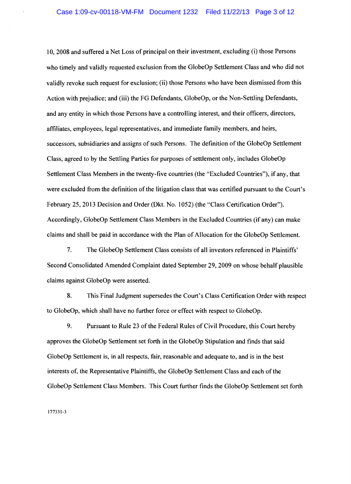10, 2008 and suffered a Net Loss of principal on their investment, excluding (i) those Persons who timely and validly requested exclusion from the GlobeOp Settlement Class and who did not validly revoke such request for exclusion; (ii) those Persons who have been dismissed from this Action with prejudice; and (iii) the FG Defendants, GlobeOp, or the Non-Settling Defendants, and any entity in which those Persons have a controlling interest, and their officers, directors, affiliates, employees, legal representatives, and immediate family members, and heirs, successors, subsidiaries and assigns of such Persons. The definition of the GlobeOp Settlement Class, agreed to by the Settling Parties for purposes of settlement only, includes GlobeOp Settlement Class Members in the twenty-five countries (the "Excluded Countries"), if any, that were excluded from the definition of the litigation class that was certified pursuant to the Court's February 25, 2013 Decision and Order (Dkt. No. 1052) (the "Class Certification Order"). Accordingly, GlobeOp Settlement Class Members in the Excluded Countries (if any) can make claims and shall be paid in accordance with the Plan of Allocation for the GlobeOp Settlement.

7. The GlobeOp Settlement Class consists of all investors referenced in Plaintiffs' Second Consolidated Amended Complaint dated September 29,2009 on whose behalf plausible claims against GlobeOp were asserted.

8. This Final Judgment supersedes the Court's Class Certification Order with respect to G1obeOp, which shall have no further force or effect with respect to GlobeOp.

9. Pursuant to Rule 23 of the Federal Rules of Civil Procedure, this Court hereby approves the GlobeOp Settlement set forth in the GlobeOp Stipulation and finds that said GlobeOp Settlement is, in all respects, fair, reasonable and adequate to, and is in the best interests of, the Representative Plaintiffs, the GlobeOp Settlement Class and each ofthe GlobeOp Settlement Class Members. This Court further finds the GlobeOp Settlement set forth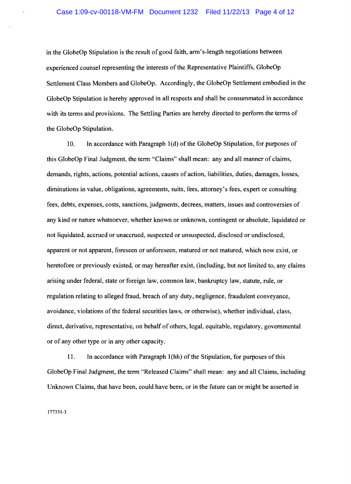in the GlobeOp Stipulation is the result of good faith, arm's-length negotiations between experienced counsel representing the interests of the Representative Plaintiffs, GlobeOp Settlement Class Members and GlobeOp. Accordingly, the GlobeOp Settlement embodied in the GlobeOp Stipulation is hereby approved in all respects and shall be consummated in accordance with its terms and provisions. The Settling Parties are hereby directed to perform the terms of the GlobeOp Stipulation.

10. In accordance with Paragraph I (d) of the GlobeOp Stipulation, for purposes of this GlobeOp Final Judgment, the term "Claims" shall mean: any and all manner of claims, demands, rights, actions, potential actions, causes of action, liabilities, duties, damages, losses, diminutions in value, obligations, agreements, suits, fees, attorney's fees, expert or consulting fees, debts, expenses, costs, sanctions, judgments, decrees, matters, issues and controversies of any kind or nature whatsoever, whether known or unknown, contingent or absolute, liquidated or not liquidated, accrued or unaccrued, suspected or unsuspected, disclosed or undisclosed, apparent or not apparent, foreseen or unforeseen, matured or not matured, which now exist, or heretofore or previously existed, or may hereafter exist, (including, but not limited to, any claims arising under federal, state or foreign law, common law, bankruptcy law, statute, rule, or regulation relating to alleged fraud, breach of any duty, negligence, fraudulent conveyance, avoidance, violations of the federal securities laws, or otherwise), whether individual, class, direct, derivative, representative, on behalf of others, legal, equitable, regulatory, governmental or of any other type or in any other capacity.

11. In accordance with Paragraph 1(hh) of the Stipulation, for purposes of this GlobeOp Final Judgment, the term "Released Claims" shall mean: any and all Claims, including Unknown Claims, that have been, could have been, or in the future can or might be asserted in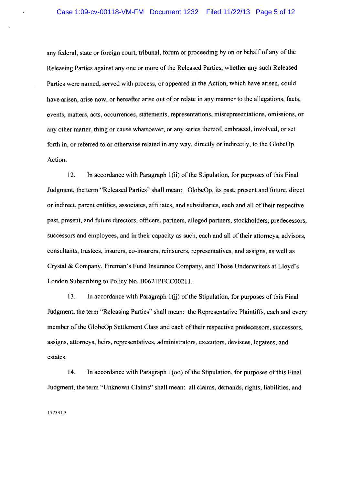any federal, state or foreign court, tribunal, forum or proceeding by on or behalf of any of the Releasing Parties against any one or more of the Released Parties, whether any such Released Parties were named, served with process, or appeared in the Action, which have arisen, could have arisen, arise now, or hereafter arise out of or relate in any manner to the allegations, facts, events, matters, acts, occurrences, statements, representations, misrepresentations, omissions, or any other matter, thing or cause whatsoever, or any series thereof, embraced, involved, or set forth in, or referred to or otherwise related in any way, directly or indirectly, to the GlobeOp Action.

12. In accordance with Paragraph 1(ii) of the Stipulation, for purposes of this Final Judgment, the term "Released Parties" shall mean: GlobeOp, its past, present and future, direct or indirect, parent entities, associates, affiliates, and subsidiaries, each and all oftheir respective past, present, and future directors, officers, partners, alleged partners, stockholders, predecessors, successors and employees, and in their capacity as such, each and all of their attorneys, advisors, consultants, trustees, insurers, co-insurers, reinsurers, representatives, and assigns, as well as Crystal & Company, Fireman's Fund Insurance Company, and Those Underwriters at Lloyd's London Subscribing to Policy No. B0621PFCC00211.

13. In accordance with Paragraph  $1(ij)$  of the Stipulation, for purposes of this Final Judgment, the tenn "Releasing Parties" shall mean: the Representative Plaintiffs, each and every member of the GlobeOp Settlement Class and each of their respective predecessors, successors, assigns, attorneys, heirs, representatives, administrators, executors, devisees, legatees, and estates.

14. In accordance with Paragraph 1(00) of the Stipulation, for purposes of this Final Judgment, the term "Unknown Claims" shall mean: all claims, demands, rights, liabilities, and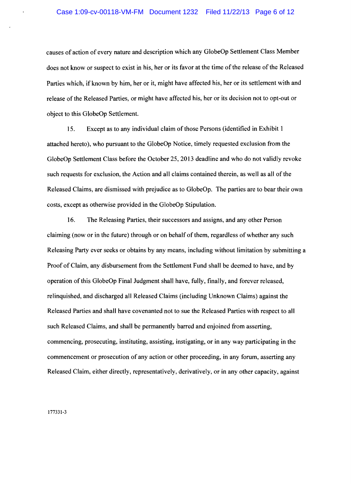causes of action of every nature and description which any GlobeOp Settlement Class Member does not know or suspect to exist in his, her or its favor at the time of the release of the Released Parties which, if known by him, her or it, might have affected his, her or its settlement with and release of the Released Parties, or might have affected his, her or its decision not to opt-out or object to this GlobeOp Settlement.

15. Except as to any individual claim of those Persons (identified in Exhibit 1 attached hereto), who pursuant to the GlobeOp Notice, timely requested exclusion from the GlobeOp Settlement Class before the October 25,2013 deadline and who do not validly revoke such requests for exclusion, the Action and all claims contained therein, as well as all of the Released Claims, are dismissed with prejudice as to GlobeOp. The parties are to bear their own costs, except as otherwise provided in the GlobeOp Stipulation.

16. The Releasing Parties, their successors and assigns, and any other Person claiming (now or in the future) through or on behalf of them, regardless of whether any such Releasing Party ever seeks or obtains by any means, including without limitation by submitting a Proof of Claim, any disbursement from the Settlement Fund shall be deemed to have, and by operation of this GlobeOp Final Judgment shall have, fully, finally, and forever released, relinquished, and discharged all Released Claims (including Unknown Claims) against the Released Parties and shall have covenanted not to sue the Released Parties with respect to all such Released Claims, and shall be permanently barred and enjoined from asserting, commencing, prosecuting, instituting, assisting, instigating, or in any way participating in the commencement or prosecution of any action or other proceeding, in any forum, asserting any Released Claim, either directly, representatively, derivatively, or in any other capacity, against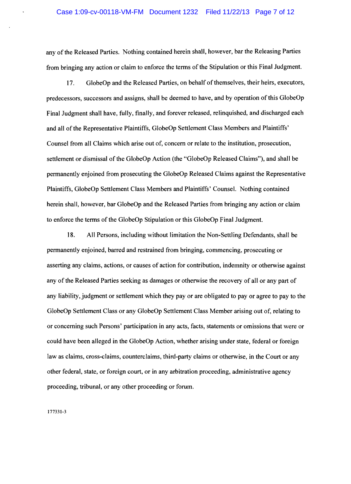any of the Released Parties. Nothing contained herein shall, however, bar the Releasing Parties from bringing any action or claim to enforce the terms of the Stipulation or this Final Judgment.

17. GlobeOp and the Released Parties, on behalf of themselves, their heirs, executors, predecessors, successors and assigns, shall be deemed to have, and by operation of this GlobeOp Final Judgment shall have, fully, finally, and forever released, relinquished, and discharged each and all of the Representative Plaintiffs, GlobeOp Settlement Class Members and Plaintiffs' Counsel from all Claims which arise out of, concern or relate to the institution, prosecution, settlement or dismissal of the GlobeOp Action (the "GlobeOp Released Claims"), and shall be permanently enjoined from prosecuting the GlobeOp Released Claims against the Representative Plaintiffs, GlobeOp Settlement Class Members and Plaintiffs' Counsel. Nothing contained herein shall, however, bar GlobeOp and the Released Parties from bringing any action or claim to enforce the terms of the GlobeOp Stipulation or this GlobeOp Final Judgment.

18. All Persons, including without limitation the Non-Settling Defendants, shall be permanently enjoined, barred and restrained from bringing, commencing, prosecuting or asserting any claims, actions, or causes of action for contribution, indemnity or otherwise against any of the Released Parties seeking as damages or otherwise the recovery of all or any part of any liability, judgment or settlement which they payor are obligated to payor agree to pay to the GlobeOp Settlement Class or any GlobeOp Settlement Class Member arising out of, relating to or concerning such Persons' participation in any acts, facts, statements or omissions that were or could have been alleged in the GlobeOp Action, whether arising under state, federal or foreign law as claims, cross-claims, counterclaims, third-party claims or otherwise, in the Court or any other federal, state, or foreign court, or in any arbitration proceeding, administrative agency proceeding, tribunal, or any other proceeding or forum.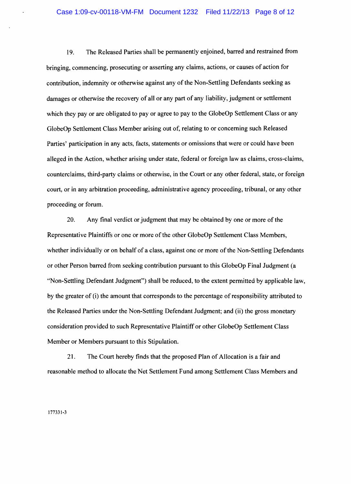19. The Released Parties shall be permanently enjoined, barred and restrained from bringing, commencing, prosecuting or asserting any claims, actions, or causes of action for contribution, indemnity or otherwise against any of the Non-Settling Defendants seeking as damages or otherwise the recovery of all or any part of any liability, judgment or settlement which they pay or are obligated to pay or agree to pay to the GlobeOp Settlement Class or any GlobeOp Settlement Class Member arising out of, relating to or concerning such Released Parties' participation in any acts, facts, statements or omissions that were or could have been alleged in the Action, whether arising under state, federal or foreign law as claims, cross-claims, counterclaims, third-party claims or otherwise, in the Court or any other federal, state, or foreign court, or in any arbitration proceeding, administrative agency proceeding, tribunal, or any other proceeding or forum.

20. Any final verdict or judgment that may be obtained by one or more of the Representative Plaintiffs or one or more of the other GlobeOp Settlement Class Members, whether individually or on behalf of a class, against one or more of the Non-Settling Defendants or other Person barred from seeking contribution pursuant to this GlobeOp Final Judgment (a "Non-Settling Defendant Judgment") shall be reduced, to the extent permitted by applicable law, by the greater of (i) the amount that corresponds to the percentage of responsibility attributed to the Released Parties under the Non-Settling Defendant Judgment; and (ii) the gross monetary consideration provided to such Representative Plaintiff or other GlobeOp Settlement Class Member or Members pursuant to this Stipulation.

21. The Court hereby finds that the proposed Plan of Allocation is a fair and reasonable method to allocate the Net Settlement Fund among Settlement Class Members and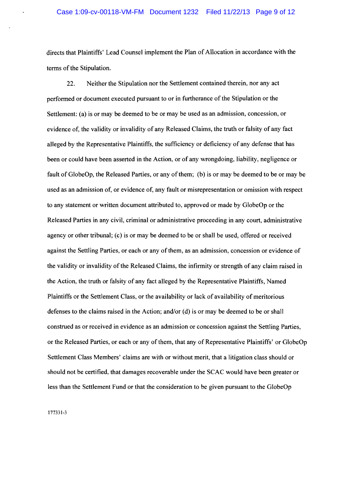directs that Plaintiffs' Lead Counsel implement the Plan of Allocation in accordance with the terms of the Stipulation.

22. Neither the Stipulation nor the Settlement contained therein, nor any act performed or document executed pursuant to or in furtherance of the Stipulation or the Settlement: (a) is or may be deemed to be or may be used as an admission, concession, or evidence of, the validity or invalidity of any Released Claims, the truth or falsity of any fact alleged by the Representative Plaintiffs, the sufficiency or deficiency of any defense that has been or could have been asserted in the Action, or of any wrongdoing, liability, negligence or fault of GlobeOp, the Released Parties, or any of them; (b) is or may be deemed to be or may be used as an admission of, or evidence of, any fault or misrepresentation or omission with respect to any statement or written document attributed to, approved or made by GlobeOp or the Released Parties in any civil, criminal or administrative proceeding in any court, administrative agency or other tribunal; (c) is or may be deemed to be or shall be used, offered or received against the Settling Parties, or each or any ofthem, as an admission, concession or evidence of the validity or invalidity of the Released Claims, the infirmity or strength of any claim raised in the Action, the truth or falsity of any fact alleged by the Representative Plaintiffs, Named Plaintiffs or the Settlement Class, or the availability or lack of availability of meritorious defenses to the claims raised in the Action; and/or (d) is or may be deemed to be or shall construed as or received in evidence as an admission or concession against the Settling Parties, or the Released Parties, or each or any of them, that any of Representative Plaintiffs' or GlobeOp Settlement Class Members' claims are with or without merit, that a litigation class should or should not be certified, that damages recoverable under the SCAC would have been greater or less than the Settlement Fund or that the consideration to be given pursuant to the GlobeOp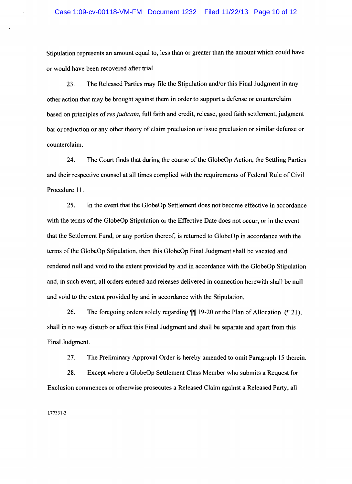Stipulation represents an amount equal to, less than or greater than the amount which could have or would have been recovered after trial.

23. The Released Parties may file the Stipulation and/or this Final Judgment in any other action that may be brought against them in order to support a defense or counterclaim based on principles of *res judicata,* full faith and credit, release, good faith settlement, judgment bar or reduction or any other theory of claim preclusion or issue preclusion or similar defense or counterclaim.

24. The Court finds that during the course of the GlobeOp Action, the Settling Parties and their respective counsel at all times complied with the requirements of Federal Rule of Civil Procedure 11.

25. In the event that the GlobeOp Settlement does not become effective in accordance with the terms of the GlobeOp Stipulation or the Effective Date does not occur, or in the event that the Settlement Fund, or any portion thereof, is returned to GlobeOp in accordance with the terms of the GlobeOp Stipulation, then this GlobeOp Final Judgment shall be vacated and rendered null and void to the extent provided by and in accordance with the GlobeOp Stipulation and, in such event, all orders entered and releases delivered in connection herewith shall be null and void to the extent provided by and in accordance with the Stipulation.

26. The foregoing orders solely regarding  $\mathbb{I}$  19-20 or the Plan of Allocation ( $\mathbb{I}$  21), shall in no way disturb or affect this Final Judgment and shall be separate and apart from this Final Judgment.

27. The Preliminary Approval Order is hereby amended to omit Paragraph 15 therein.

28. Except where a GlobeOp Settlement Class Member who submits a Request for Exclusion commences or otherwise prosecutes a Released Claim against a Released Party, all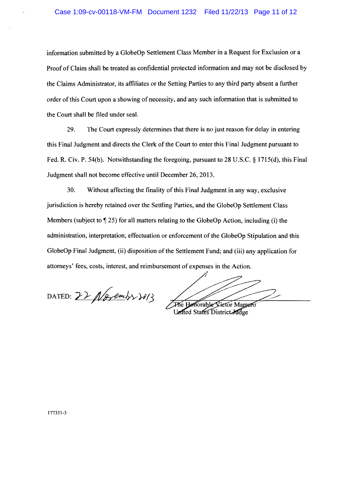information submitted by a GlobeOp Settlement Class Member in a Request for Exclusion or a Proof of Claim shall be treated as confidential protected information and may not be disclosed by the Claims Administrator, its affiliates or the Setting Parties to any third party absent a further order of this Court upon a showing of necessity, and any such information that is submitted to the Court shall be filed under seal.

29. The Court expressly determines that there is no just reason for delay in entering this Final Judgment and directs the Clerk of the Court to enter this Final Judgment pursuant to Fed. R. Civ. P. 54(b). Notwithstanding the foregoing, pursuant to 28 U.S.c. § 1715(d), this Final Judgment shall not become effective until December 26,2013.

30. Without affecting the finality of this Final Judgment in any way, exclusive jurisdiction is hereby retained over the Settling Parties, and the GlobeOp Settlement Class Members (subject to  $\lll 25$ ) for all matters relating to the GlobeOp Action, including (i) the administration, interpretation, effectuation or enforcement of the GlobeOp Stipulation and this GlobeOp Final Judgment, (ii) disposition of the Settlement Fund; and (iii) any application for attorneys' fees, costs, interest, and reimbursement of expenses in the Action.

DATED:  $22$  / 18 pm/s  $30/3$ 

 $\mathscr{J}_\mathscr{C}$ 

The Henorable Victor Marrero United States District